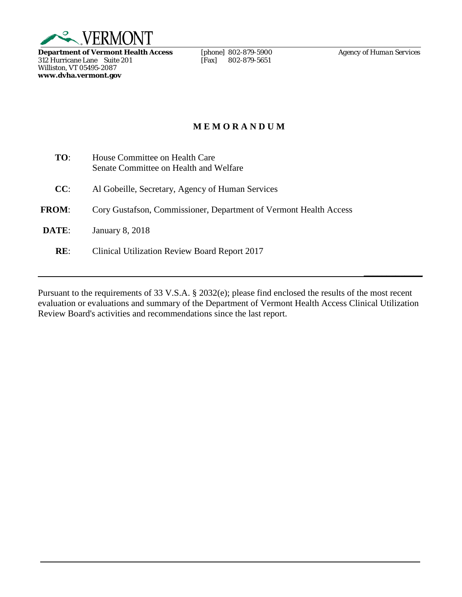

**Department of Vermont Health Access** [phone] 802-879-5900 *Agency of Human Services* 312 Hurricane Lane Suite 201 [Fax] 802-879-5651 312 Hurricane Lane Suite 201 [Fax] 802-879-5651 Williston, VT 05495-2087 **www.dvha.vermont.gov**

**\_\_\_\_\_\_\_\_\_\_\_\_\_**

# **M E M O R A N D U M**

| TO:          | House Committee on Health Care<br>Senate Committee on Health and Welfare |
|--------------|--------------------------------------------------------------------------|
| CC:          | Al Gobeille, Secretary, Agency of Human Services                         |
| <b>FROM:</b> | Cory Gustafson, Commissioner, Department of Vermont Health Access        |
| DATE:        | <b>January 8, 2018</b>                                                   |
| RE:          | Clinical Utilization Review Board Report 2017                            |

Pursuant to the requirements of 33 V.S.A. § 2032(e); please find enclosed the results of the most recent evaluation or evaluations and summary of the Department of Vermont Health Access Clinical Utilization Review Board's activities and recommendations since the last report.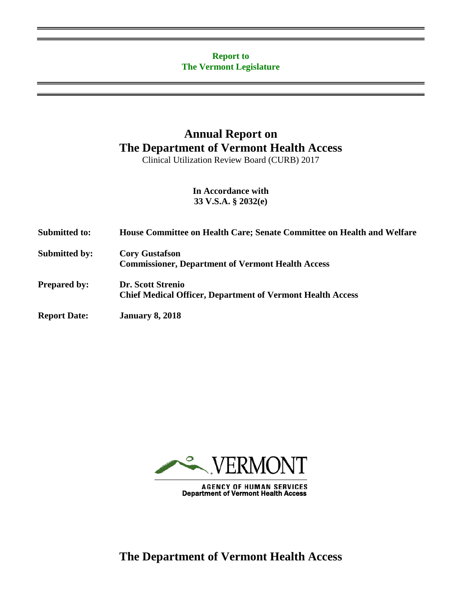## **Report to The Vermont Legislature**

# **Annual Report on The Department of Vermont Health Access**

Clinical Utilization Review Board (CURB) 2017

**In Accordance with 33 V.S.A. § 2032(e)**

| <b>Submitted to:</b> | House Committee on Health Care; Senate Committee on Health and Welfare                 |
|----------------------|----------------------------------------------------------------------------------------|
| <b>Submitted by:</b> | <b>Cory Gustafson</b><br><b>Commissioner, Department of Vermont Health Access</b>      |
| <b>Prepared by:</b>  | Dr. Scott Strenio<br><b>Chief Medical Officer, Department of Vermont Health Access</b> |
| <b>Report Date:</b>  | <b>January 8, 2018</b>                                                                 |



AGENCY OF HUMAN SERVICES<br>Department of Vermont Health Access

**The Department of Vermont Health Access**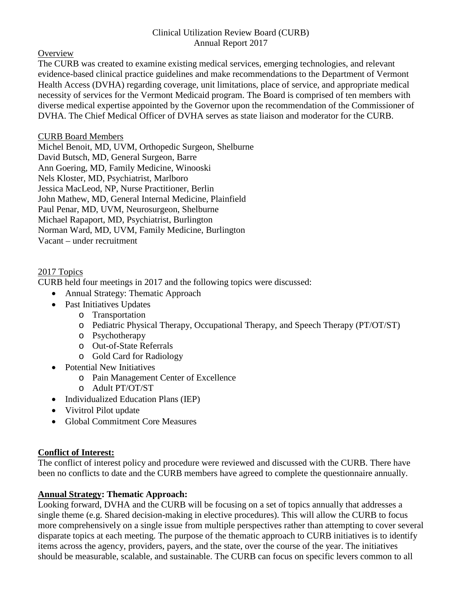#### Clinical Utilization Review Board (CURB) Annual Report 2017

**Overview** 

The CURB was created to examine existing medical services, emerging technologies, and relevant evidence-based clinical practice guidelines and make recommendations to the Department of Vermont Health Access (DVHA) regarding coverage, unit limitations, place of service, and appropriate medical necessity of services for the Vermont Medicaid program. The Board is comprised of ten members with diverse medical expertise appointed by the Governor upon the recommendation of the Commissioner of DVHA. The Chief Medical Officer of DVHA serves as state liaison and moderator for the CURB.

## CURB Board Members

Michel Benoit, MD, UVM, Orthopedic Surgeon, Shelburne David Butsch, MD, General Surgeon, Barre Ann Goering, MD, Family Medicine, Winooski Nels Kloster, MD, Psychiatrist, Marlboro Jessica MacLeod, NP, Nurse Practitioner, Berlin John Mathew, MD, General Internal Medicine, Plainfield Paul Penar, MD, UVM, Neurosurgeon, Shelburne Michael Rapaport, MD, Psychiatrist, Burlington Norman Ward, MD, UVM, Family Medicine, Burlington Vacant – under recruitment

## 2017 Topics

CURB held four meetings in 2017 and the following topics were discussed:

- Annual Strategy: Thematic Approach
- Past Initiatives Updates
	- o Transportation
	- o Pediatric Physical Therapy, Occupational Therapy, and Speech Therapy (PT/OT/ST)
	- o Psychotherapy
	- o Out-of-State Referrals
	- o Gold Card for Radiology
- Potential New Initiatives
	- o Pain Management Center of Excellence
	- o Adult PT/OT/ST
- Individualized Education Plans (IEP)
- Vivitrol Pilot update
- Global Commitment Core Measures

## **Conflict of Interest:**

The conflict of interest policy and procedure were reviewed and discussed with the CURB. There have been no conflicts to date and the CURB members have agreed to complete the questionnaire annually.

## **Annual Strategy: Thematic Approach:**

Looking forward, DVHA and the CURB will be focusing on a set of topics annually that addresses a single theme (e.g. Shared decision-making in elective procedures). This will allow the CURB to focus more comprehensively on a single issue from multiple perspectives rather than attempting to cover several disparate topics at each meeting. The purpose of the thematic approach to CURB initiatives is to identify items across the agency, providers, payers, and the state, over the course of the year. The initiatives should be measurable, scalable, and sustainable. The CURB can focus on specific levers common to all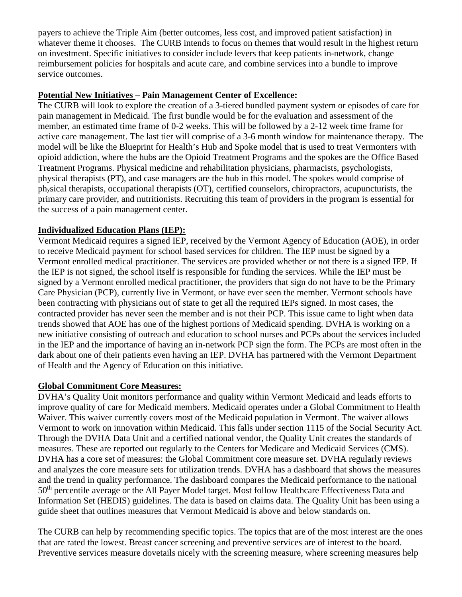payers to achieve the Triple Aim (better outcomes, less cost, and improved patient satisfaction) in whatever theme it chooses. The CURB intends to focus on themes that would result in the highest return on investment. Specific initiatives to consider include levers that keep patients in-network, change reimbursement policies for hospitals and acute care, and combine services into a bundle to improve service outcomes.

## **Potential New Initiatives – Pain Management Center of Excellence:**

The CURB will look to explore the creation of a 3-tiered bundled payment system or episodes of care for pain management in Medicaid. The first bundle would be for the evaluation and assessment of the member, an estimated time frame of 0-2 weeks. This will be followed by a 2-12 week time frame for active care management. The last tier will comprise of a 3-6 month window for maintenance therapy. The model will be like the Blueprint for Health's Hub and Spoke model that is used to treat Vermonters with opioid addiction, where the hubs are the Opioid Treatment Programs and the spokes are the Office Based Treatment Programs. Physical medicine and rehabilitation physicians, pharmacists, psychologists, physical therapists (PT), and case managers are the hub in this model. The spokes would comprise of physical therapists, occupational therapists (OT), certified counselors, chiropractors, acupuncturists, the primary care provider, and nutritionists. Recruiting this team of providers in the program is essential for the success of a pain management center.

## **Individualized Education Plans (IEP):**

Vermont Medicaid requires a signed IEP, received by the Vermont Agency of Education (AOE), in order to receive Medicaid payment for school based services for children. The IEP must be signed by a Vermont enrolled medical practitioner. The services are provided whether or not there is a signed IEP. If the IEP is not signed, the school itself is responsible for funding the services. While the IEP must be signed by a Vermont enrolled medical practitioner, the providers that sign do not have to be the Primary Care Physician (PCP), currently live in Vermont, or have ever seen the member. Vermont schools have been contracting with physicians out of state to get all the required IEPs signed. In most cases, the contracted provider has never seen the member and is not their PCP. This issue came to light when data trends showed that AOE has one of the highest portions of Medicaid spending. DVHA is working on a new initiative consisting of outreach and education to school nurses and PCPs about the services included in the IEP and the importance of having an in-network PCP sign the form. The PCPs are most often in the dark about one of their patients even having an IEP. DVHA has partnered with the Vermont Department of Health and the Agency of Education on this initiative.

## **Global Commitment Core Measures:**

DVHA's Quality Unit monitors performance and quality within Vermont Medicaid and leads efforts to improve quality of care for Medicaid members. Medicaid operates under a Global Commitment to Health Waiver. This waiver currently covers most of the Medicaid population in Vermont. The waiver allows Vermont to work on innovation within Medicaid. This falls under section 1115 of the Social Security Act. Through the DVHA Data Unit and a certified national vendor, the Quality Unit creates the standards of measures. These are reported out regularly to the Centers for Medicare and Medicaid Services (CMS). DVHA has a core set of measures: the Global Commitment core measure set. DVHA regularly reviews and analyzes the core measure sets for utilization trends. DVHA has a dashboard that shows the measures and the trend in quality performance. The dashboard compares the Medicaid performance to the national 50<sup>th</sup> percentile average or the All Payer Model target. Most follow Healthcare Effectiveness Data and Information Set (HEDIS) guidelines. The data is based on claims data. The Quality Unit has been using a guide sheet that outlines measures that Vermont Medicaid is above and below standards on.

The CURB can help by recommending specific topics. The topics that are of the most interest are the ones that are rated the lowest. Breast cancer screening and preventive services are of interest to the board. Preventive services measure dovetails nicely with the screening measure, where screening measures help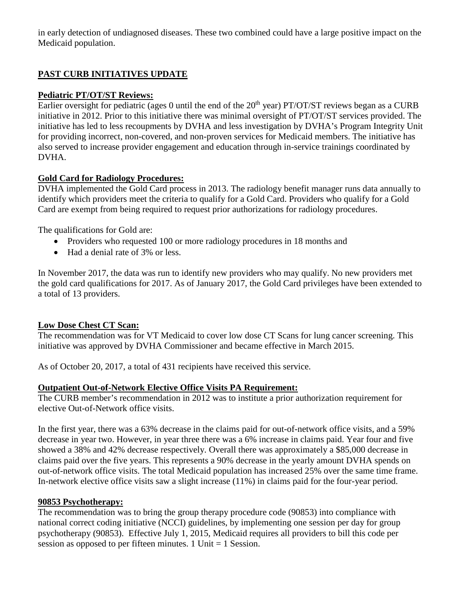in early detection of undiagnosed diseases. These two combined could have a large positive impact on the Medicaid population.

# **PAST CURB INITIATIVES UPDATE**

## **Pediatric PT/OT/ST Reviews:**

Earlier oversight for pediatric (ages 0 until the end of the  $20<sup>th</sup>$  year) PT/OT/ST reviews began as a CURB initiative in 2012. Prior to this initiative there was minimal oversight of PT/OT/ST services provided. The initiative has led to less recoupments by DVHA and less investigation by DVHA's Program Integrity Unit for providing incorrect, non-covered, and non-proven services for Medicaid members. The initiative has also served to increase provider engagement and education through in-service trainings coordinated by DVHA.

## **Gold Card for Radiology Procedures:**

DVHA implemented the Gold Card process in 2013. The radiology benefit manager runs data annually to identify which providers meet the criteria to qualify for a Gold Card. Providers who qualify for a Gold Card are exempt from being required to request prior authorizations for radiology procedures.

The qualifications for Gold are:

- Providers who requested 100 or more radiology procedures in 18 months and
- Had a denial rate of 3% or less.

In November 2017, the data was run to identify new providers who may qualify. No new providers met the gold card qualifications for 2017. As of January 2017, the Gold Card privileges have been extended to a total of 13 providers.

## **Low Dose Chest CT Scan:**

The recommendation was for VT Medicaid to cover low dose CT Scans for lung cancer screening. This initiative was approved by DVHA Commissioner and became effective in March 2015.

As of October 20, 2017, a total of 431 recipients have received this service.

## **Outpatient Out-of-Network Elective Office Visits PA Requirement:**

The CURB member's recommendation in 2012 was to institute a prior authorization requirement for elective Out-of-Network office visits.

In the first year, there was a 63% decrease in the claims paid for out-of-network office visits, and a 59% decrease in year two. However, in year three there was a 6% increase in claims paid. Year four and five showed a 38% and 42% decrease respectively. Overall there was approximately a \$85,000 decrease in claims paid over the five years. This represents a 90% decrease in the yearly amount DVHA spends on out-of-network office visits. The total Medicaid population has increased 25% over the same time frame. In-network elective office visits saw a slight increase (11%) in claims paid for the four-year period.

## **90853 Psychotherapy:**

The recommendation was to bring the group therapy procedure code (90853) into compliance with national correct coding initiative (NCCI) guidelines, by implementing one session per day for group psychotherapy (90853). Effective July 1, 2015, Medicaid requires all providers to bill this code per session as opposed to per fifteen minutes. 1 Unit = 1 Session.